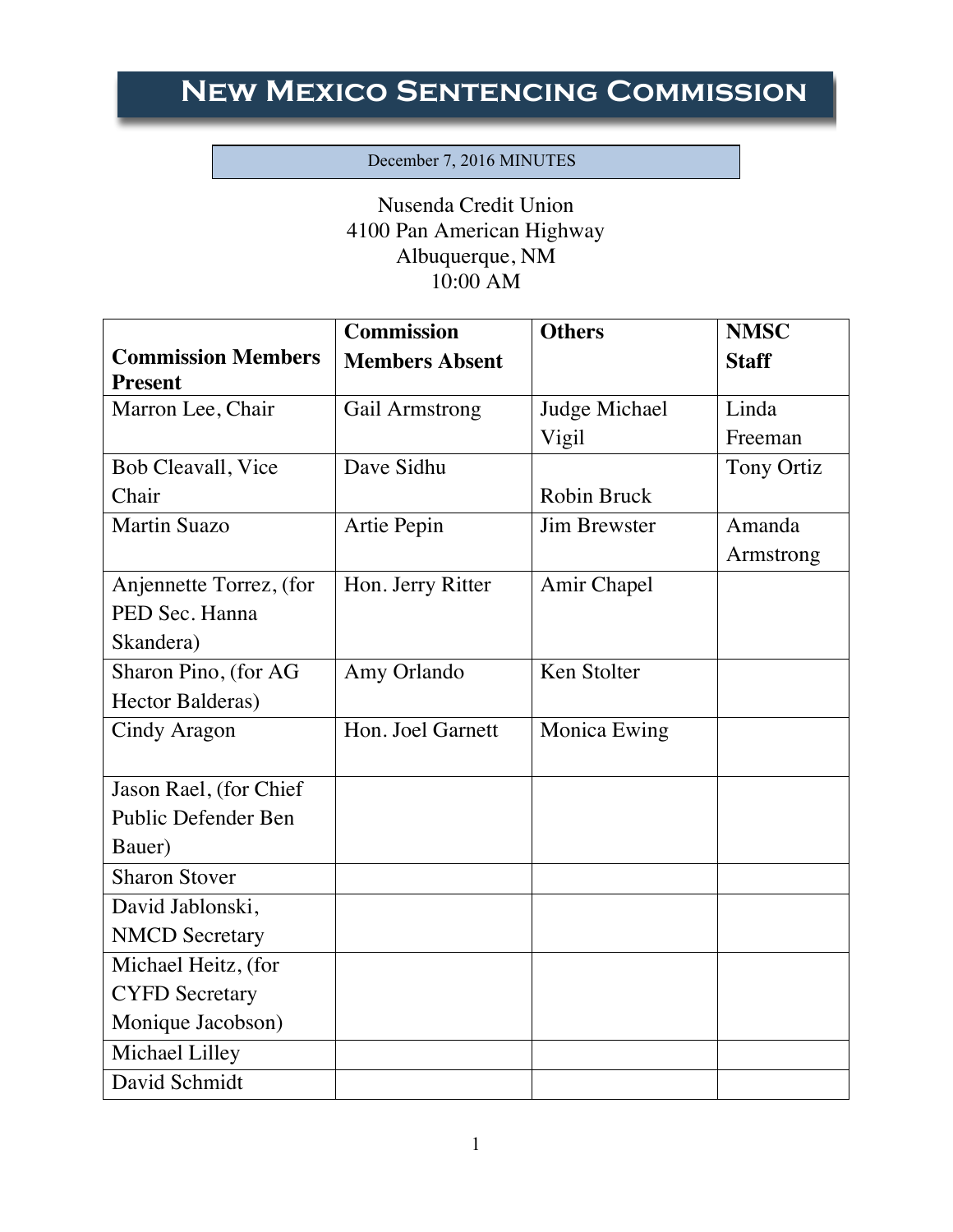## **New Mexico Sentencing Commission**

## December 7, 2016 MINUTES

Nusenda Credit Union 4100 Pan American Highway Albuquerque, NM 10:00 AM

|                            | <b>Commission</b>     | <b>Others</b>       | <b>NMSC</b>       |
|----------------------------|-----------------------|---------------------|-------------------|
| <b>Commission Members</b>  | <b>Members Absent</b> |                     | <b>Staff</b>      |
| <b>Present</b>             |                       |                     |                   |
| Marron Lee, Chair          | Gail Armstrong        | Judge Michael       | Linda             |
|                            |                       | Vigil               | Freeman           |
| <b>Bob Cleavall</b> , Vice | Dave Sidhu            |                     | <b>Tony Ortiz</b> |
| Chair                      |                       | Robin Bruck         |                   |
| <b>Martin Suazo</b>        | Artie Pepin           | <b>Jim Brewster</b> | Amanda            |
|                            |                       |                     | Armstrong         |
| Anjennette Torrez, (for    | Hon. Jerry Ritter     | Amir Chapel         |                   |
| PED Sec. Hanna             |                       |                     |                   |
| Skandera)                  |                       |                     |                   |
| Sharon Pino, (for AG       | Amy Orlando           | Ken Stolter         |                   |
| Hector Balderas)           |                       |                     |                   |
| Cindy Aragon               | Hon. Joel Garnett     | Monica Ewing        |                   |
|                            |                       |                     |                   |
| Jason Rael, (for Chief     |                       |                     |                   |
| Public Defender Ben        |                       |                     |                   |
| Bauer)                     |                       |                     |                   |
| <b>Sharon Stover</b>       |                       |                     |                   |
| David Jablonski,           |                       |                     |                   |
| <b>NMCD</b> Secretary      |                       |                     |                   |
| Michael Heitz, (for        |                       |                     |                   |
| <b>CYFD</b> Secretary      |                       |                     |                   |
| Monique Jacobson)          |                       |                     |                   |
| Michael Lilley             |                       |                     |                   |
| David Schmidt              |                       |                     |                   |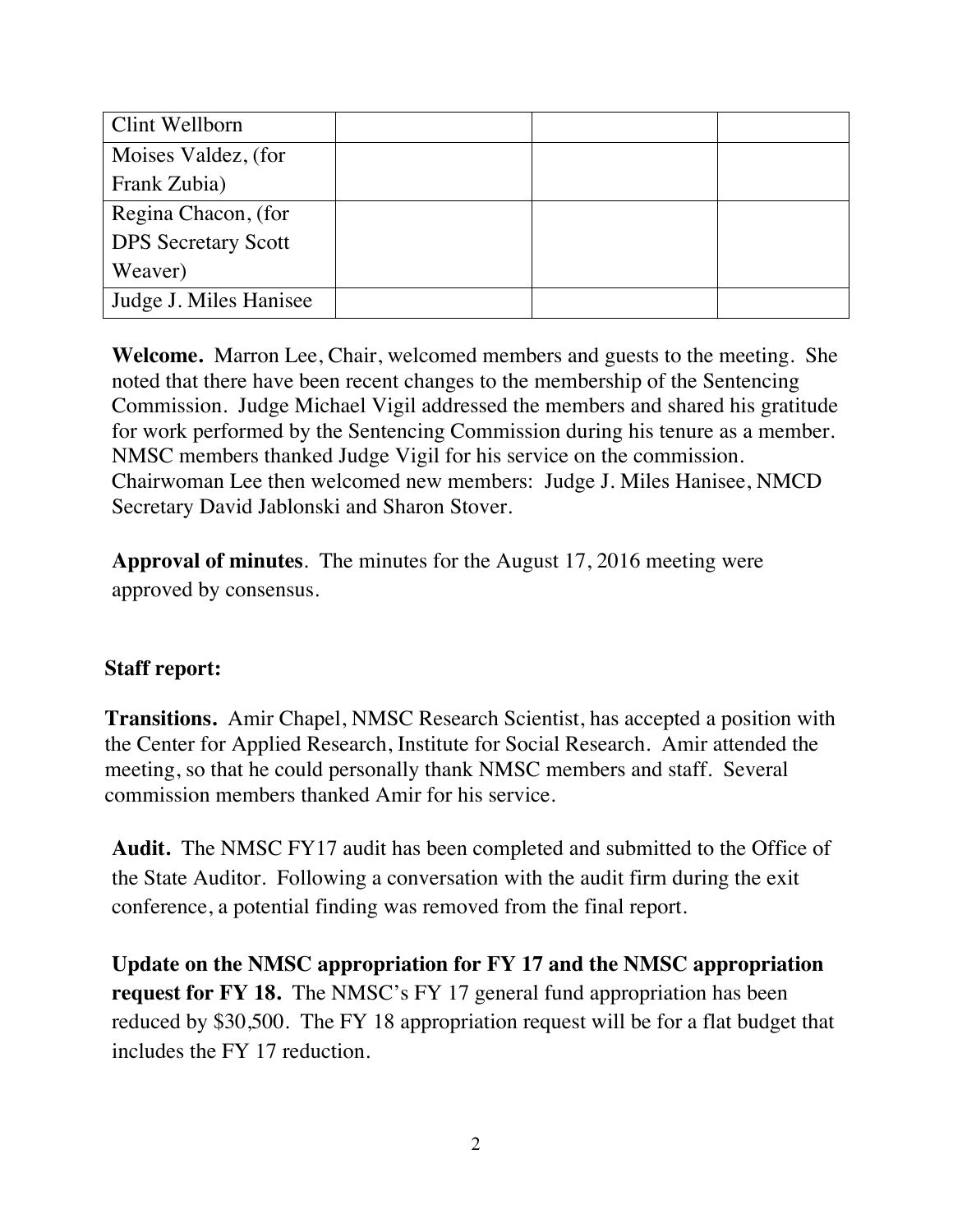| Clint Wellborn             |  |  |
|----------------------------|--|--|
| Moises Valdez, (for        |  |  |
| Frank Zubia)               |  |  |
| Regina Chacon, (for        |  |  |
| <b>DPS</b> Secretary Scott |  |  |
| Weaver)                    |  |  |
| Judge J. Miles Hanisee     |  |  |

**Welcome.** Marron Lee, Chair, welcomed members and guests to the meeting. She noted that there have been recent changes to the membership of the Sentencing Commission. Judge Michael Vigil addressed the members and shared his gratitude for work performed by the Sentencing Commission during his tenure as a member. NMSC members thanked Judge Vigil for his service on the commission. Chairwoman Lee then welcomed new members: Judge J. Miles Hanisee, NMCD Secretary David Jablonski and Sharon Stover.

**Approval of minutes**. The minutes for the August 17, 2016 meeting were approved by consensus.

## **Staff report:**

**Transitions.** Amir Chapel, NMSC Research Scientist, has accepted a position with the Center for Applied Research, Institute for Social Research. Amir attended the meeting, so that he could personally thank NMSC members and staff. Several commission members thanked Amir for his service.

**Audit.** The NMSC FY17 audit has been completed and submitted to the Office of the State Auditor. Following a conversation with the audit firm during the exit conference, a potential finding was removed from the final report.

**Update on the NMSC appropriation for FY 17 and the NMSC appropriation request for FY 18.** The NMSC's FY 17 general fund appropriation has been reduced by \$30,500. The FY 18 appropriation request will be for a flat budget that includes the FY 17 reduction.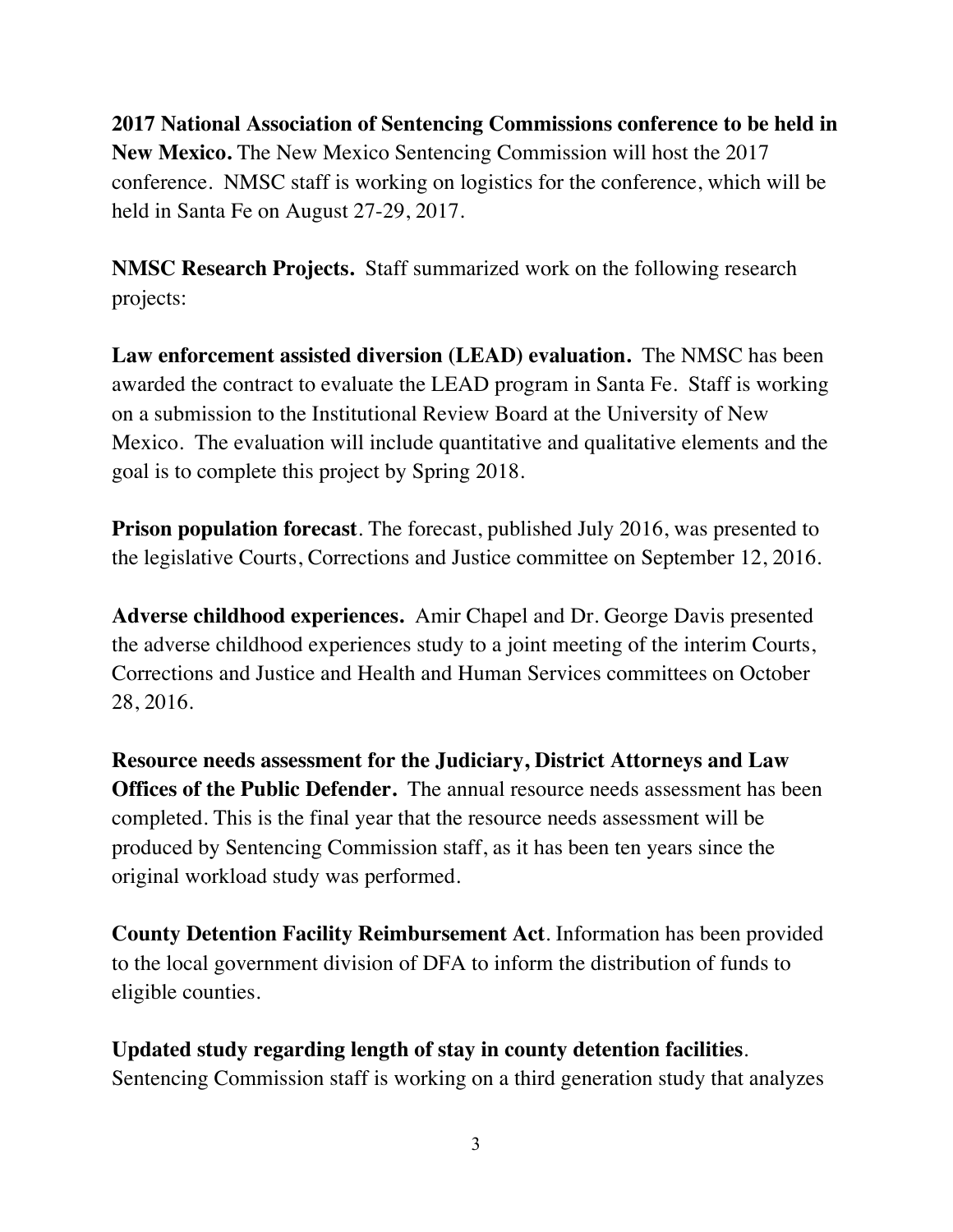**2017 National Association of Sentencing Commissions conference to be held in New Mexico.** The New Mexico Sentencing Commission will host the 2017 conference. NMSC staff is working on logistics for the conference, which will be held in Santa Fe on August 27-29, 2017.

**NMSC Research Projects.** Staff summarized work on the following research projects:

**Law enforcement assisted diversion (LEAD) evaluation.** The NMSC has been awarded the contract to evaluate the LEAD program in Santa Fe. Staff is working on a submission to the Institutional Review Board at the University of New Mexico. The evaluation will include quantitative and qualitative elements and the goal is to complete this project by Spring 2018.

**Prison population forecast**. The forecast, published July 2016, was presented to the legislative Courts, Corrections and Justice committee on September 12, 2016.

**Adverse childhood experiences.** Amir Chapel and Dr. George Davis presented the adverse childhood experiences study to a joint meeting of the interim Courts, Corrections and Justice and Health and Human Services committees on October 28, 2016.

**Resource needs assessment for the Judiciary, District Attorneys and Law Offices of the Public Defender.** The annual resource needs assessment has been completed. This is the final year that the resource needs assessment will be produced by Sentencing Commission staff, as it has been ten years since the original workload study was performed.

**County Detention Facility Reimbursement Act**. Information has been provided to the local government division of DFA to inform the distribution of funds to eligible counties.

**Updated study regarding length of stay in county detention facilities**. Sentencing Commission staff is working on a third generation study that analyzes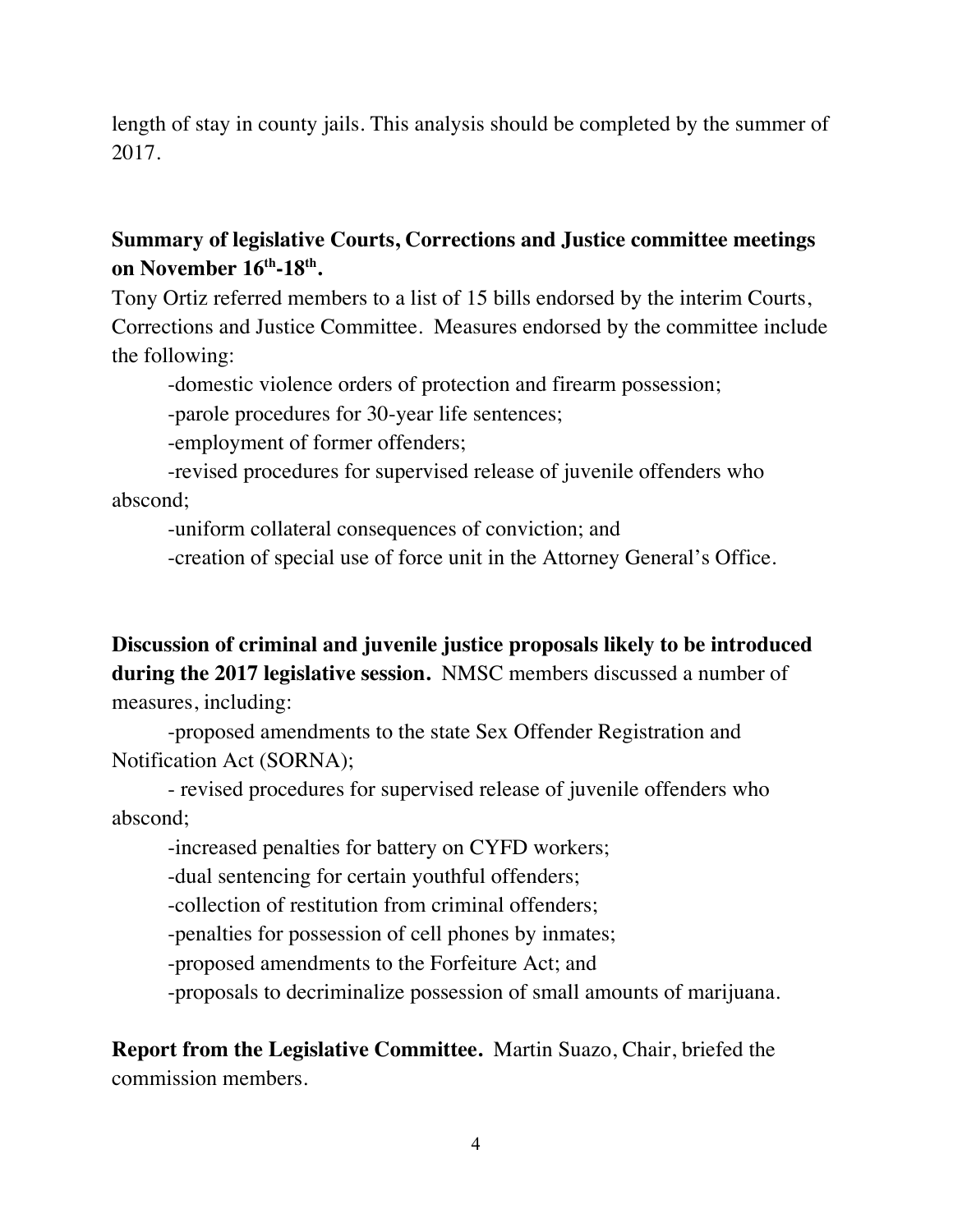length of stay in county jails. This analysis should be completed by the summer of 2017.

## **Summary of legislative Courts, Corrections and Justice committee meetings on November 16th-18th.**

Tony Ortiz referred members to a list of 15 bills endorsed by the interim Courts, Corrections and Justice Committee. Measures endorsed by the committee include the following:

-domestic violence orders of protection and firearm possession;

-parole procedures for 30-year life sentences;

-employment of former offenders;

-revised procedures for supervised release of juvenile offenders who abscond;

-uniform collateral consequences of conviction; and

-creation of special use of force unit in the Attorney General's Office.

**Discussion of criminal and juvenile justice proposals likely to be introduced during the 2017 legislative session.** NMSC members discussed a number of measures, including:

-proposed amendments to the state Sex Offender Registration and Notification Act (SORNA);

- revised procedures for supervised release of juvenile offenders who abscond;

-increased penalties for battery on CYFD workers;

-dual sentencing for certain youthful offenders;

-collection of restitution from criminal offenders;

-penalties for possession of cell phones by inmates;

-proposed amendments to the Forfeiture Act; and

-proposals to decriminalize possession of small amounts of marijuana.

**Report from the Legislative Committee.** Martin Suazo, Chair, briefed the commission members.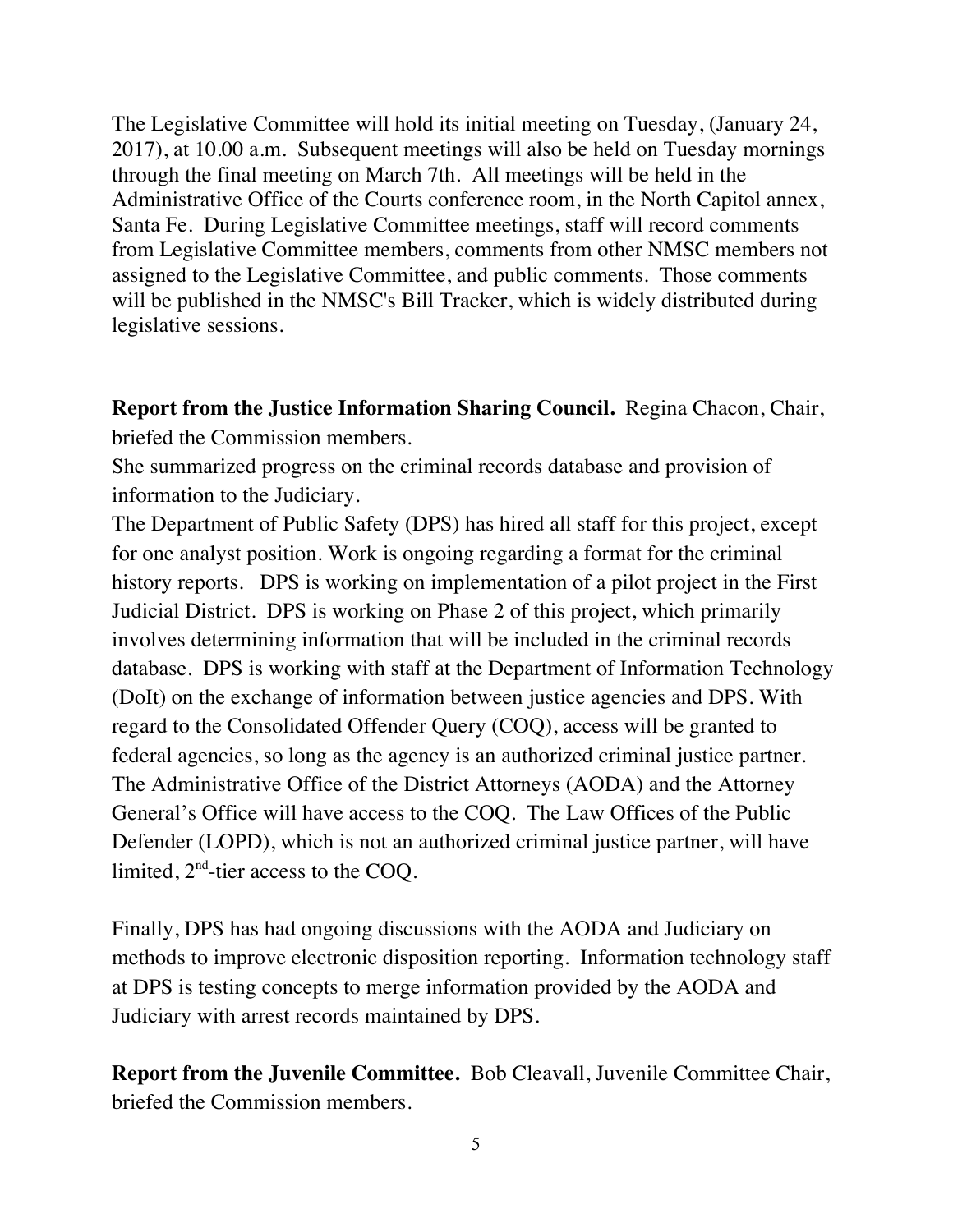The Legislative Committee will hold its initial meeting on Tuesday, (January 24, 2017), at 10.00 a.m. Subsequent meetings will also be held on Tuesday mornings through the final meeting on March 7th. All meetings will be held in the Administrative Office of the Courts conference room, in the North Capitol annex, Santa Fe. During Legislative Committee meetings, staff will record comments from Legislative Committee members, comments from other NMSC members not assigned to the Legislative Committee, and public comments. Those comments will be published in the NMSC's Bill Tracker, which is widely distributed during legislative sessions.

**Report from the Justice Information Sharing Council.** Regina Chacon, Chair, briefed the Commission members.

She summarized progress on the criminal records database and provision of information to the Judiciary.

The Department of Public Safety (DPS) has hired all staff for this project, except for one analyst position. Work is ongoing regarding a format for the criminal history reports. DPS is working on implementation of a pilot project in the First Judicial District. DPS is working on Phase 2 of this project, which primarily involves determining information that will be included in the criminal records database. DPS is working with staff at the Department of Information Technology (DoIt) on the exchange of information between justice agencies and DPS. With regard to the Consolidated Offender Query (COQ), access will be granted to federal agencies, so long as the agency is an authorized criminal justice partner. The Administrative Office of the District Attorneys (AODA) and the Attorney General's Office will have access to the COQ. The Law Offices of the Public Defender (LOPD), which is not an authorized criminal justice partner, will have limited,  $2<sup>nd</sup>$ -tier access to the COQ.

Finally, DPS has had ongoing discussions with the AODA and Judiciary on methods to improve electronic disposition reporting. Information technology staff at DPS is testing concepts to merge information provided by the AODA and Judiciary with arrest records maintained by DPS.

**Report from the Juvenile Committee.** Bob Cleavall, Juvenile Committee Chair, briefed the Commission members.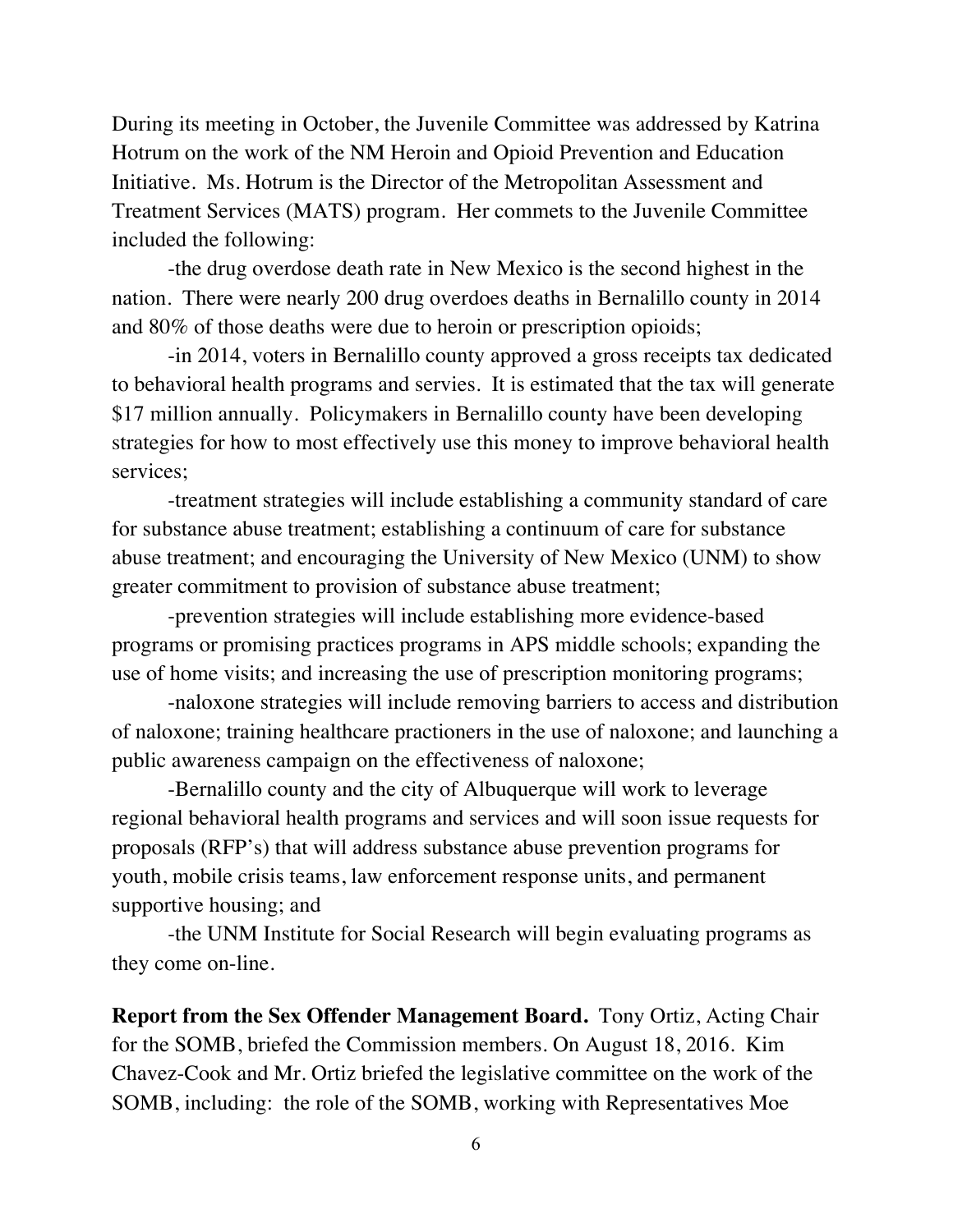During its meeting in October, the Juvenile Committee was addressed by Katrina Hotrum on the work of the NM Heroin and Opioid Prevention and Education Initiative. Ms. Hotrum is the Director of the Metropolitan Assessment and Treatment Services (MATS) program. Her commets to the Juvenile Committee included the following:

-the drug overdose death rate in New Mexico is the second highest in the nation. There were nearly 200 drug overdoes deaths in Bernalillo county in 2014 and 80% of those deaths were due to heroin or prescription opioids;

-in 2014, voters in Bernalillo county approved a gross receipts tax dedicated to behavioral health programs and servies. It is estimated that the tax will generate \$17 million annually. Policymakers in Bernalillo county have been developing strategies for how to most effectively use this money to improve behavioral health services;

-treatment strategies will include establishing a community standard of care for substance abuse treatment; establishing a continuum of care for substance abuse treatment; and encouraging the University of New Mexico (UNM) to show greater commitment to provision of substance abuse treatment;

-prevention strategies will include establishing more evidence-based programs or promising practices programs in APS middle schools; expanding the use of home visits; and increasing the use of prescription monitoring programs;

-naloxone strategies will include removing barriers to access and distribution of naloxone; training healthcare practioners in the use of naloxone; and launching a public awareness campaign on the effectiveness of naloxone;

-Bernalillo county and the city of Albuquerque will work to leverage regional behavioral health programs and services and will soon issue requests for proposals (RFP's) that will address substance abuse prevention programs for youth, mobile crisis teams, law enforcement response units, and permanent supportive housing; and

-the UNM Institute for Social Research will begin evaluating programs as they come on-line.

**Report from the Sex Offender Management Board.** Tony Ortiz, Acting Chair for the SOMB, briefed the Commission members. On August 18, 2016. Kim Chavez-Cook and Mr. Ortiz briefed the legislative committee on the work of the SOMB, including: the role of the SOMB, working with Representatives Moe